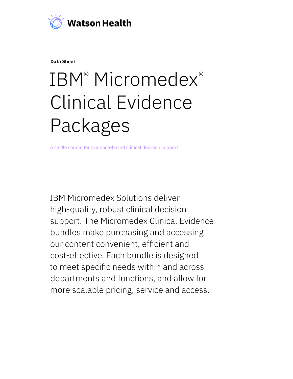

**Data Sheet**

# IBM<sup>®</sup> Micromedex<sup>®</sup> Clinical Evidence Packages

A single source for evidence-based clinical decision support

IBM Micromedex Solutions deliver high-quality, robust clinical decision support. The Micromedex Clinical Evidence bundles make purchasing and accessing our content convenient, efficient and cost-effective. Each bundle is designed to meet specific needs within and across departments and functions, and allow for more scalable pricing, service and access.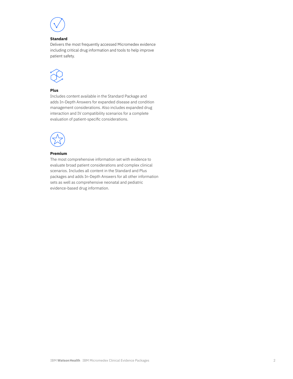

## **Standard**

Delivers the most frequently accessed Micromedex evidence including critical drug information and tools to help improve patient safety.



## **Plus**

Includes content available in the Standard Package and adds In-Depth Answers for expanded disease and condition management considerations. Also includes expanded drug interaction and IV compatibility scenarios for a complete evaluation of patient-specific considerations.



## **Premium**

The most comprehensive information set with evidence to evaluate broad patient considerations and complex clinical scenarios. Includes all content in the Standard and Plus packages and adds In-Depth Answers for all other information sets as well as comprehensive neonatal and pediatric evidence-based drug information.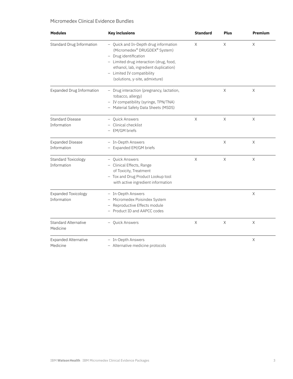# Micromedex Clinical Evidence Bundles

| <b>Modules</b>                            | <b>Key inclusions</b>                                                                                                                                                                                                                               | <b>Standard</b> | <b>Plus</b> | <b>Premium</b> |
|-------------------------------------------|-----------------------------------------------------------------------------------------------------------------------------------------------------------------------------------------------------------------------------------------------------|-----------------|-------------|----------------|
| <b>Standard Drug Information</b>          | - Quick and In-Depth drug information<br>(Micromedex® DRUGDEX® System)<br>- Drug identification<br>- Limited drug interaction (drug, food,<br>ethanol, lab, ingredient duplication)<br>- Limited IV compatibility<br>(solutions, y-site, admixture) | $\times$        | X           | $\mathsf X$    |
| <b>Expanded Drug Information</b>          | - Drug interaction (pregnancy, lactation,<br>tobacco, allergy)<br>- IV compatibility (syringe, TPN/TNA)<br>- Material Safety Data Sheets (MSDS)                                                                                                     |                 | Χ           | Χ              |
| <b>Standard Disease</b><br>Information    | <b>Ouick Answers</b><br>$\overline{\phantom{0}}$<br>Clinical checklist<br>$\qquad \qquad -$<br>- EM/GM briefs                                                                                                                                       | X               | X           | X              |
| <b>Expanded Disease</b><br>Information    | - In-Depth Answers<br>- Expanded EM/GM briefs                                                                                                                                                                                                       |                 | X           | X              |
| <b>Standard Toxicology</b><br>Information | <b>Ouick Answers</b><br>$\overline{\phantom{0}}$<br>- Clinical Effects, Range<br>of Toxicity, Treatment<br>- Tox and Drug Product Lookup tool<br>with active ingredient information                                                                 | $\times$        | X           | X              |
| <b>Expanded Toxicology</b><br>Information | - In-Depth Answers<br>- Micromedex Poisindex System<br>- Reproductive Effects module<br>- Product ID and AAPCC codes                                                                                                                                |                 |             | $\mathsf X$    |
| <b>Standard Alternative</b><br>Medicine   | <b>Ouick Answers</b>                                                                                                                                                                                                                                | $\times$        | $\times$    | $\times$       |
| <b>Expanded Alternative</b><br>Medicine   | - In-Depth Answers<br>- Alternative medicine protocols                                                                                                                                                                                              |                 |             | $\mathsf X$    |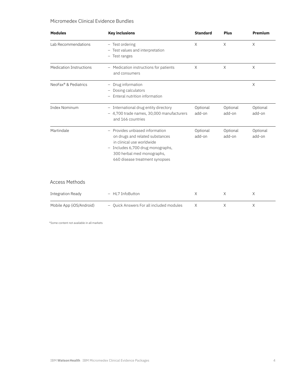# Micromedex Clinical Evidence Bundles

| <b>Modules</b>                   | <b>Key inclusions</b>                                                                                                                                                                                                 | <b>Standard</b>    | <b>Plus</b>        | <b>Premium</b>     |
|----------------------------------|-----------------------------------------------------------------------------------------------------------------------------------------------------------------------------------------------------------------------|--------------------|--------------------|--------------------|
| Lab Recommendations              | - Test ordering<br>- Test values and interpretation<br>- Test ranges                                                                                                                                                  | $\times$           | $\times$           | X                  |
| <b>Medication Instructions</b>   | - Medication instructions for patients<br>and consumers                                                                                                                                                               | X                  | X                  | X                  |
| NeoFax <sup>®</sup> & Pediatrics | Drug information<br>-<br>Dosing calculators<br>$\qquad \qquad -$<br>Enteral nutrition information                                                                                                                     |                    |                    | $\times$           |
| <b>Index Nominum</b>             | - International drug entity directory<br>- 4,700 trade names, 30,000 manufacturers<br>and 166 countries                                                                                                               | Optional<br>add-on | Optional<br>add-on | Optional<br>add-on |
| Martindale                       | Provides unbiased information<br>on drugs and related substances<br>in clinical use worldwide<br>Includes 6,700 drug monographs,<br>$\qquad \qquad -$<br>300 herbal med monographs,<br>660 disease treatment synopses | Optional<br>add-on | Optional<br>add-on | Optional<br>add-on |
| <b>Access Methods</b>            |                                                                                                                                                                                                                       |                    |                    |                    |
| <b>Integration Ready</b>         | HL7 InfoButton                                                                                                                                                                                                        | X                  | Χ                  | X                  |
| Mobile App (iOS/Android)         | Ouick Answers For all included modules                                                                                                                                                                                | Χ                  | $\times$           | X                  |

\*Some content not available in all markets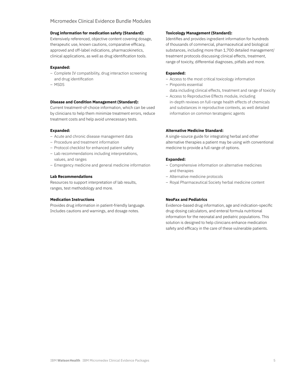# Micromedex Clinical Evidence Bundle Modules

## **Drug information for medication safety (Standard):**

Extensively referenced, objective content covering dosage, therapeutic use, known cautions, comparative efficacy, approved and off-label indications, pharmacokinetics, clinical applications, as well as drug identification tools.

#### **Expanded:**

- Complete IV compatibility, drug interaction screening and drug identification
- MSDS

## **Disease and Condition Management (Standard):**

Current treatment-of-choice information, which can be used by clinicians to help them minimize treatment errors, reduce treatment costs and help avoid unnecessary tests.

#### **Expanded:**

- Acute and chronic disease management data
- Procedure and treatment information
- Protocol checklist for enhanced patient safety
- Lab recommendations including interpretations, values, and ranges
- Emergency medicine and general medicine information

#### **Lab Recommendations**

Resources to support interpretation of lab results, ranges, test methodology and more.

#### **Medication Instructions**

Provides drug information in patient-friendly language. Includes cautions and warnings, and dosage notes.

#### **Toxicology Management (Standard):**

Identifies and provides ingredient information for hundreds of thousands of commercial, pharmaceutical and biological substances, including more than 1,700 detailed management/ treatment protocols discussing clinical effects, treatment, range of toxicity, differential diagnoses, pitfalls and more.

## **Expanded:**

- Access to the most critical toxicology information
- Pinpoints essential data including clinical effects, treatment and range of toxicity
- Access to Reproductive Effects module, including in-depth reviews on full-range health effects of chemicals and substances in reproductive contexts, as well detailed information on common teratogenic agents

#### **Alternative Medicine Standard:**

A single-source guide for integrating herbal and other alternative therapies a patient may be using with conventional medicine to provide a full range of options.

#### **Expanded:**

- Comprehensive information on alternative medicines and therapies
- Alternative medicine protocols
- Royal Pharmaceutical Society herbal medicine content

## **NeoFax and Pediatrics**

Evidence-based drug information, age and indication-specific drug-dosing calculators, and enteral formula nutritional information for the neonatal and pediatric populations. This solution is designed to help clinicians enhance medication safety and efficacy in the care of these vulnerable patients.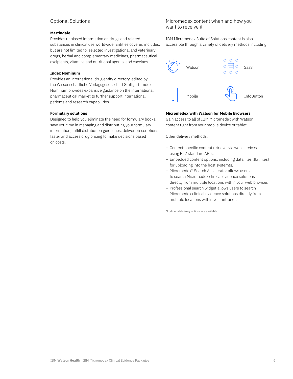# Optional Solutions

## **Martindale**

Provides unbiased information on drugs and related substances in clinical use worldwide. Entities covered includes, but are not limited to, selected investigational and veterinary drugs, herbal and complementary medicines, pharmaceutical excipients, vitamins and nutritional agents, and vaccines.

### **Index Nominum**

Provides an international drug entity directory, edited by the Wissenschaftliche Verlagsgesellschaft Stuttgart. Index Nominum provides expansive guidance on the international pharmaceutical market to further support international patients and research capabilities.

#### **Formulary solutions**

Designed to help you eliminate the need for formulary books, save you time in managing and distributing your formulary information, fulfill distribution guidelines, deliver prescriptions faster and access drug pricing to make decisions based on costs.

## Micromedex content when and how you want to receive it

IBM Micromedex Suite of Solutions content is also accessible through a variety of delivery methods including:



## **Micromedex with Watson for Mobile Browsers**

Gain access to all of IBM Micromedex with Watson content right from your mobile device or tablet.

Other delivery methods:

- Context-specific content retrieval via web services using HL7 standard APIs.
- Embedded content options, including data files (flat files) for uploading into the host system(s).
- Micromedex® Search Accelerator allows users to search Micromedex clinical evidence solutions directly from multiple locations within your web browser.
- Professional search widget allows users to search Micromedex clinical evidence solutions directly from multiple locations within your intranet.

\*Additional delivery options are available